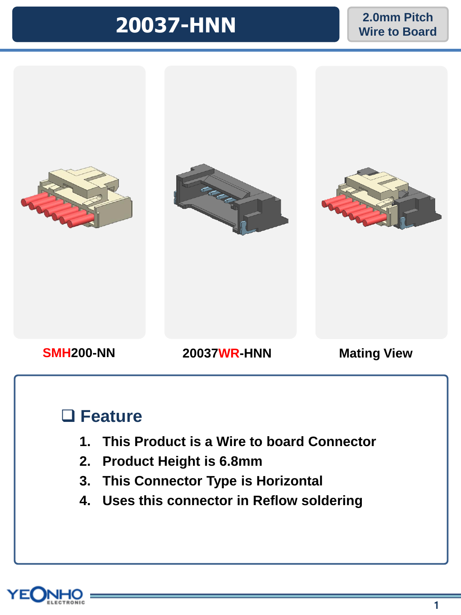# **20037-HNN 2.0mm Pitch**

## **Wire to Board**



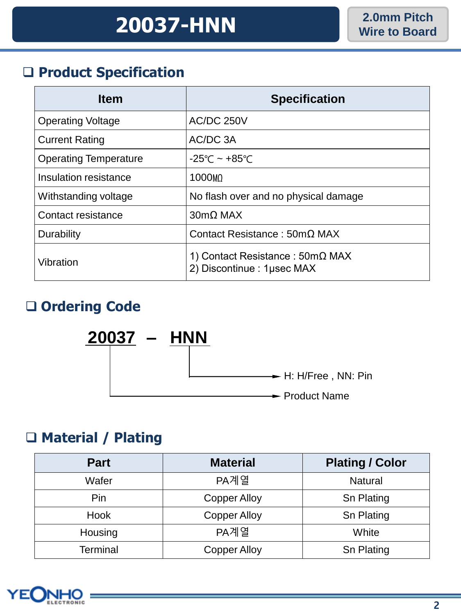#### ❑ **Product Specification**

| <b>Item</b>                  | <b>Specification</b>                                                 |
|------------------------------|----------------------------------------------------------------------|
| <b>Operating Voltage</b>     | <b>AC/DC 250V</b>                                                    |
| <b>Current Rating</b>        | AC/DC 3A                                                             |
| <b>Operating Temperature</b> | $-25^{\circ}$ C ~ +85 $^{\circ}$ C                                   |
| Insulation resistance        | 1000 <sub>M</sub>                                                    |
| Withstanding voltage         | No flash over and no physical damage                                 |
| Contact resistance           | $30 \text{mA}$ MAX                                                   |
| Durability                   | Contact Resistance: $50 \text{m}\Omega$ MAX                          |
| Vibration                    | 1) Contact Resistance : $50 \text{mA}$<br>2) Discontinue : 1µsec MAX |

### ❑ **Ordering Code**



### ❑ **Material / Plating**

| <b>Part</b>     | <b>Material</b>     | <b>Plating / Color</b> |
|-----------------|---------------------|------------------------|
| Wafer           | PA계열                | <b>Natural</b>         |
| Pin             | <b>Copper Alloy</b> | Sn Plating             |
| Hook            | <b>Copper Alloy</b> | Sn Plating             |
| Housing         | PA계열                | White                  |
| <b>Terminal</b> | <b>Copper Alloy</b> | Sn Plating             |

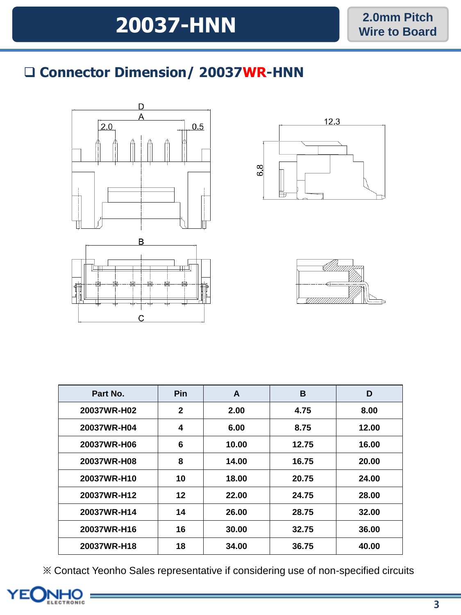### ❑ **Connector Dimension/ 20037WR-HNN**



C





| Part No.    | <b>Pin</b>   | A     | B     | D     |
|-------------|--------------|-------|-------|-------|
| 20037WR-H02 | $\mathbf{2}$ | 2.00  | 4.75  | 8.00  |
| 20037WR-H04 | 4            | 6.00  | 8.75  | 12.00 |
| 20037WR-H06 | 6            | 10.00 | 12.75 | 16.00 |
| 20037WR-H08 | 8            | 14.00 | 16.75 | 20.00 |
| 20037WR-H10 | 10           | 18.00 | 20.75 | 24.00 |
| 20037WR-H12 | 12           | 22.00 | 24.75 | 28.00 |
| 20037WR-H14 | 14           | 26.00 | 28.75 | 32.00 |
| 20037WR-H16 | 16           | 30.00 | 32.75 | 36.00 |
| 20037WR-H18 | 18           | 34.00 | 36.75 | 40.00 |

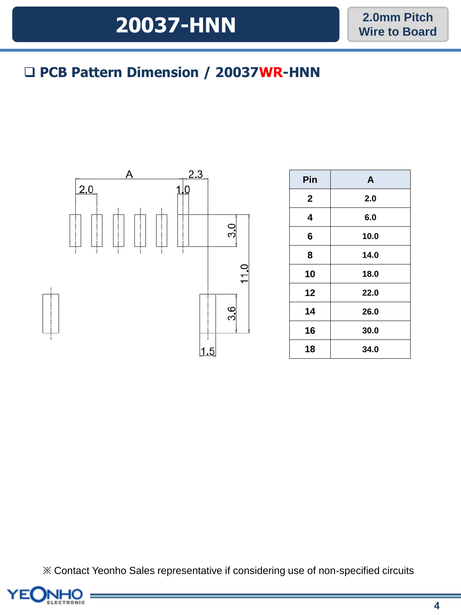# **2.0mm Pitch 20037-HNN Wire to Board**

### ❑ **PCB Pattern Dimension / 20037WR-HNN**



| Pin            | A    |  |  |  |
|----------------|------|--|--|--|
| $\overline{2}$ | 2.0  |  |  |  |
| 4              | 6.0  |  |  |  |
| 6              | 10.0 |  |  |  |
| 8              | 14.0 |  |  |  |
| 10             | 18.0 |  |  |  |
| 12             | 22.0 |  |  |  |
| 14             | 26.0 |  |  |  |
| 16             | 30.0 |  |  |  |
| 18             | 34.0 |  |  |  |

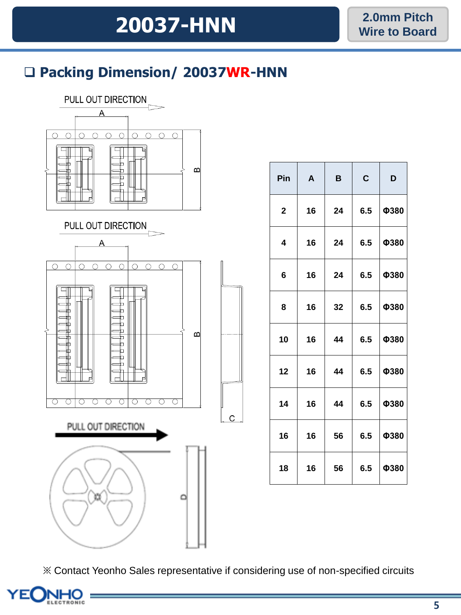### ❑ **Packing Dimension/ 20037WR-HNN**



| Pin         | A  | B  | $\mathbf C$ | D    |
|-------------|----|----|-------------|------|
| $\mathbf 2$ | 16 | 24 | 6.5         | Ф380 |
| 4           | 16 | 24 | 6.5         | Ф380 |
| 6           | 16 | 24 | 6.5         | Ф380 |
| 8           | 16 | 32 | 6.5         | Ф380 |
| 10          | 16 | 44 | 6.5         | Ф380 |
| 12          | 16 | 44 | 6.5         | Ф380 |
| 14          | 16 | 44 | 6.5         | Ф380 |
| 16          | 16 | 56 | 6.5         | Ф380 |
| 18          | 16 | 56 | 6.5         | Ф380 |

※ Contact Yeonho Sales representative if considering use of non-specified circuits

 $\overline{C}$ 

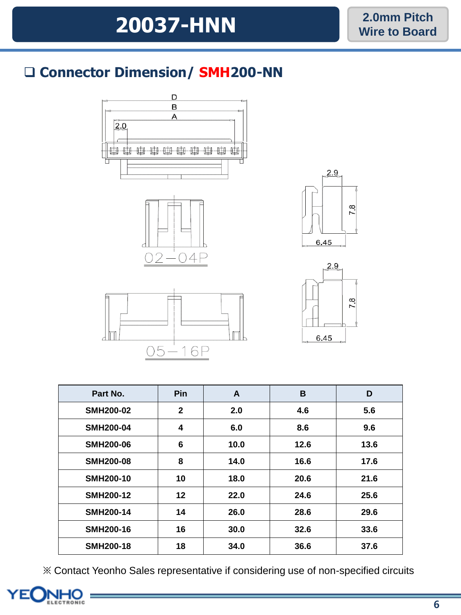### ❑ **Connector Dimension/ SMH200-NN**











| Part No.         | <b>Pin</b>   | A    | B    | D    |
|------------------|--------------|------|------|------|
| <b>SMH200-02</b> | $\mathbf{2}$ | 2.0  | 4.6  | 5.6  |
| <b>SMH200-04</b> | 4            | 6.0  | 8.6  | 9.6  |
| <b>SMH200-06</b> | 6            | 10.0 | 12.6 | 13.6 |
| <b>SMH200-08</b> | 8            | 14.0 | 16.6 | 17.6 |
| <b>SMH200-10</b> | 10           | 18.0 | 20.6 | 21.6 |
| <b>SMH200-12</b> | 12           | 22.0 | 24.6 | 25.6 |
| <b>SMH200-14</b> | 14           | 26.0 | 28.6 | 29.6 |
| <b>SMH200-16</b> | 16           | 30.0 | 32.6 | 33.6 |
| <b>SMH200-18</b> | 18           | 34.0 | 36.6 | 37.6 |